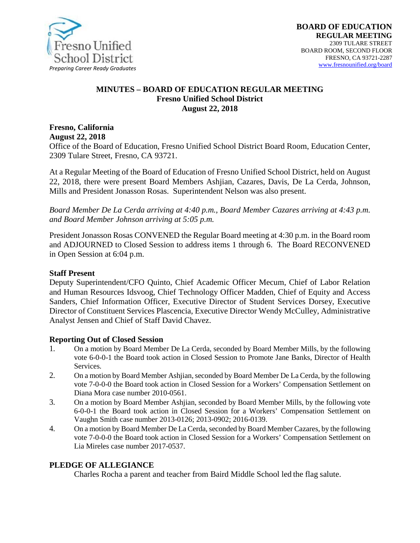

#### **MINUTES – BOARD OF EDUCATION REGULAR MEETING Fresno Unified School District August 22, 2018**

**Fresno, California August 22, 2018** 

Office of the Board of Education, Fresno Unified School District Board Room, Education Center, 2309 Tulare Street, Fresno, CA 93721.

At a Regular Meeting of the Board of Education of Fresno Unified School District, held on August 22, 2018, there were present Board Members Ashjian, Cazares, Davis, De La Cerda, Johnson, Mills and President Jonasson Rosas. Superintendent Nelson was also present.

*Board Member De La Cerda arriving at 4:40 p.m., Board Member Cazares arriving at 4:43 p.m. and Board Member Johnson arriving at 5:05 p.m.*

President Jonasson Rosas CONVENED the Regular Board meeting at 4:30 p.m. in the Board room and ADJOURNED to Closed Session to address items 1 through 6. The Board RECONVENED in Open Session at 6:04 p.m.

#### **Staff Present**

Deputy Superintendent/CFO Quinto, Chief Academic Officer Mecum, Chief of Labor Relation and Human Resources Idsvoog, Chief Technology Officer Madden, Chief of Equity and Access Sanders, Chief Information Officer, Executive Director of Student Services Dorsey, Executive Director of Constituent Services Plascencia, Executive Director Wendy McCulley, Administrative Analyst Jensen and Chief of Staff David Chavez.

#### **Reporting Out of Closed Session**

- 1. On a motion by Board Member De La Cerda, seconded by Board Member Mills, by the following vote 6-0-0-1 the Board took action in Closed Session to Promote Jane Banks, Director of Health Services.
- 2. On a motion by Board Member Ashjian, seconded by Board Member De La Cerda, by the following vote 7-0-0-0 the Board took action in Closed Session for a Workers' Compensation Settlement on Diana Mora case number 2010-0561.
- 3. On a motion by Board Member Ashjian, seconded by Board Member Mills, by the following vote 6-0-0-1 the Board took action in Closed Session for a Workers' Compensation Settlement on Vaughn Smith case number 2013-0126; 2013-0902; 2016-0139.
- 4. On a motion by Board Member De La Cerda, seconded by Board Member Cazares, by the following vote 7-0-0-0 the Board took action in Closed Session for a Workers' Compensation Settlement on Lia Mireles case number 2017-0537.

#### **PLEDGE OF ALLEGIANCE**

Charles Rocha a parent and teacher from Baird Middle School led the flag salute.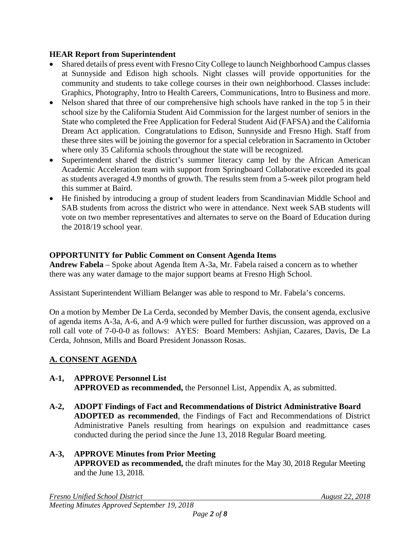#### **HEAR Report from Superintendent**

- Shared details of press event with Fresno City College to launch Neighborhood Campus classes at Sunnyside and Edison high schools. Night classes will provide opportunities for the community and students to take college courses in their own neighborhood. Classes include: Graphics, Photography, Intro to Health Careers, Communications, Intro to Business and more.
- Nelson shared that three of our comprehensive high schools have ranked in the top 5 in their school size by the California Student Aid Commission for the largest number of seniors in the State who completed the Free Application for Federal Student Aid (FAFSA) and the California Dream Act application. Congratulations to Edison, Sunnyside and Fresno High. Staff from these three sites will be joining the governor for a special celebration in Sacramento in October where only 35 California schools throughout the state will be recognized.
- Superintendent shared the district's summer literacy camp led by the African American Academic Acceleration team with support from Springboard Collaborative exceeded its goal as students averaged 4.9 months of growth. The results stem from a 5-week pilot program held this summer at Baird.
- He finished by introducing a group of student leaders from Scandinavian Middle School and SAB students from across the district who were in attendance. Next week SAB students will vote on two member representatives and alternates to serve on the Board of Education during the 2018/19 school year.

## **OPPORTUNITY for Public Comment on Consent Agenda Items**

**Andrew Fabela** – Spoke about Agenda Item A-3a, Mr. Fabela raised a concern as to whether there was any water damage to the major support beams at Fresno High School.

Assistant Superintendent William Belanger was able to respond to Mr. Fabela's concerns.

On a motion by Member De La Cerda, seconded by Member Davis, the consent agenda, exclusive of agenda items A-3a, A-6, and A-9 which were pulled for further discussion, was approved on a roll call vote of 7-0-0-0 as follows: AYES: Board Members: Ashjian, Cazares, Davis, De La Cerda, Johnson, Mills and Board President Jonasson Rosas.

# **A. CONSENT AGENDA**

# **A-1, APPROVE Personnel List**

**APPROVED as recommended,** the Personnel List, Appendix A, as submitted.

**A-2, ADOPT Findings of Fact and Recommendations of District Administrative Board ADOPTED as recommended**, the Findings of Fact and Recommendations of District Administrative Panels resulting from hearings on expulsion and readmittance cases conducted during the period since the June 13, 2018 Regular Board meeting.

#### **A-3, APPROVE Minutes from Prior Meeting APPROVED as recommended,** the draft minutes for the May 30, 2018 Regular Meeting and the June 13, 2018.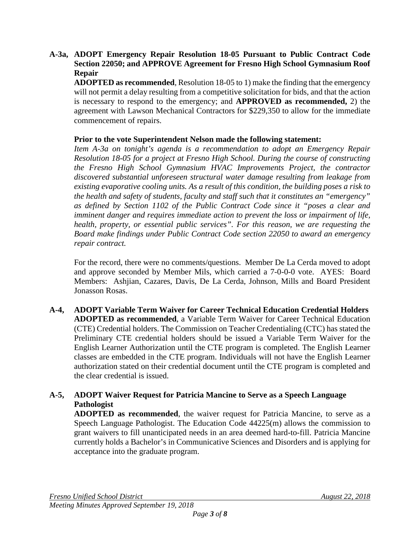#### **A-3a, ADOPT Emergency Repair Resolution 18-05 Pursuant to Public Contract Code Section 22050; and APPROVE Agreement for Fresno High School Gymnasium Roof Repair**

**ADOPTED as recommended**, Resolution 18-05 to 1) make the finding that the emergency will not permit a delay resulting from a competitive solicitation for bids, and that the action is necessary to respond to the emergency; and **APPROVED as recommended,** 2) the agreement with Lawson Mechanical Contractors for \$229,350 to allow for the immediate commencement of repairs.

## **Prior to the vote Superintendent Nelson made the following statement:**

*Item A-3a on tonight's agenda is a recommendation to adopt an Emergency Repair Resolution 18-05 for a project at Fresno High School. During the course of constructing the Fresno High School Gymnasium HVAC Improvements Project, the contractor discovered substantial unforeseen structural water damage resulting from leakage from existing evaporative cooling units. As a result of this condition, the building poses a risk to the health and safety of students, faculty and staff such that it constitutes an "emergency" as defined by Section 1102 of the Public Contract Code since it "poses a clear and imminent danger and requires immediate action to prevent the loss or impairment of life, health, property, or essential public services". For this reason, we are requesting the Board make findings under Public Contract Code section 22050 to award an emergency repair contract.* 

For the record, there were no comments/questions. Member De La Cerda moved to adopt and approve seconded by Member Mils, which carried a 7-0-0-0 vote. AYES: Board Members: Ashjian, Cazares, Davis, De La Cerda, Johnson, Mills and Board President Jonasson Rosas.

**A-4, ADOPT Variable Term Waiver for Career Technical Education Credential Holders ADOPTED as recommended**, a Variable Term Waiver for Career Technical Education (CTE) Credential holders. The Commission on Teacher Credentialing (CTC) has stated the Preliminary CTE credential holders should be issued a Variable Term Waiver for the English Learner Authorization until the CTE program is completed. The English Learner classes are embedded in the CTE program. Individuals will not have the English Learner authorization stated on their credential document until the CTE program is completed and the clear credential is issued.

## **A-5, ADOPT Waiver Request for Patricia Mancine to Serve as a Speech Language Pathologist**

**ADOPTED as recommended**, the waiver request for Patricia Mancine, to serve as a Speech Language Pathologist. The Education Code 44225(m) allows the commission to grant waivers to fill unanticipated needs in an area deemed hard-to-fill. Patricia Mancine currently holds a Bachelor's in Communicative Sciences and Disorders and is applying for acceptance into the graduate program.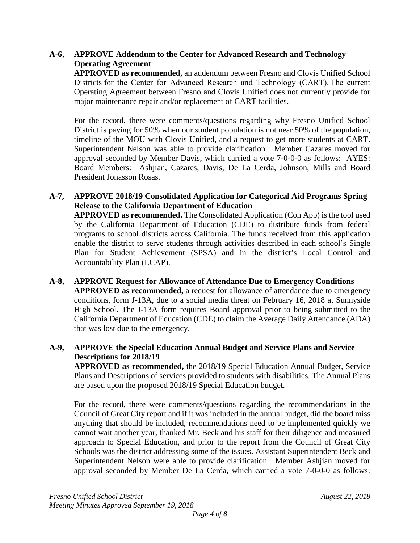## **A-6, APPROVE Addendum to the Center for Advanced Research and Technology Operating Agreement**

**APPROVED as recommended,** an addendum between Fresno and Clovis Unified School Districts for the Center for Advanced Research and Technology (CART). The current Operating Agreement between Fresno and Clovis Unified does not currently provide for major maintenance repair and/or replacement of CART facilities.

For the record, there were comments/questions regarding why Fresno Unified School District is paying for 50% when our student population is not near 50% of the population, timeline of the MOU with Clovis Unified, and a request to get more students at CART. Superintendent Nelson was able to provide clarification. Member Cazares moved for approval seconded by Member Davis, which carried a vote 7-0-0-0 as follows: AYES: Board Members: Ashjian, Cazares, Davis, De La Cerda, Johnson, Mills and Board President Jonasson Rosas.

## **A-7, APPROVE 2018/19 Consolidated Application for Categorical Aid Programs Spring Release to the California Department of Education**

**APPROVED as recommended.** The Consolidated Application (Con App) is the tool used by the California Department of Education (CDE) to distribute funds from federal programs to school districts across California. The funds received from this application enable the district to serve students through activities described in each school's Single Plan for Student Achievement (SPSA) and in the district's Local Control and Accountability Plan (LCAP).

**A-8, APPROVE Request for Allowance of Attendance Due to Emergency Conditions APPROVED as recommended,** a request for allowance of attendance due to emergency conditions, form J-13A, due to a social media threat on February 16, 2018 at Sunnyside High School. The J-13A form requires Board approval prior to being submitted to the California Department of Education (CDE) to claim the Average Daily Attendance (ADA) that was lost due to the emergency.

## **A-9, APPROVE the Special Education Annual Budget and Service Plans and Service Descriptions for 2018/19**

**APPROVED as recommended,** the 2018/19 Special Education Annual Budget, Service Plans and Descriptions of services provided to students with disabilities. The Annual Plans are based upon the proposed 2018/19 Special Education budget.

For the record, there were comments/questions regarding the recommendations in the Council of Great City report and if it was included in the annual budget, did the board miss anything that should be included, recommendations need to be implemented quickly we cannot wait another year, thanked Mr. Beck and his staff for their diligence and measured approach to Special Education, and prior to the report from the Council of Great City Schools was the district addressing some of the issues. Assistant Superintendent Beck and Superintendent Nelson were able to provide clarification. Member Ashjian moved for approval seconded by Member De La Cerda, which carried a vote 7-0-0-0 as follows: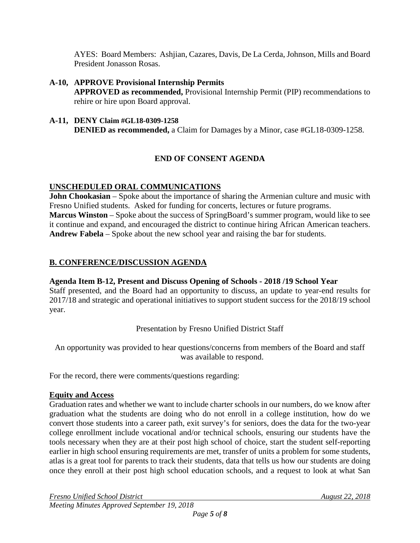AYES: Board Members: Ashjian, Cazares, Davis, De La Cerda, Johnson, Mills and Board President Jonasson Rosas.

#### **A-10, APPROVE Provisional Internship Permits APPROVED as recommended,** Provisional Internship Permit (PIP) recommendations to rehire or hire upon Board approval.

**A-11, DENY Claim #GL18-0309-1258 DENIED** as recommended, a Claim for Damages by a Minor, case #GL18-0309-1258.

# **END OF CONSENT AGENDA**

## **UNSCHEDULED ORAL COMMUNICATIONS**

**John Chookasian** – Spoke about the importance of sharing the Armenian culture and music with Fresno Unified students. Asked for funding for concerts, lectures or future programs. **Marcus Winston** – Spoke about the success of SpringBoard's summer program, would like to see it continue and expand, and encouraged the district to continue hiring African American teachers. **Andrew Fabela** – Spoke about the new school year and raising the bar for students.

## **B. CONFERENCE/DISCUSSION AGENDA**

## **Agenda Item B-12, Present and Discuss Opening of Schools - 2018 /19 School Year**

Staff presented, and the Board had an opportunity to discuss, an update to year-end results for 2017/18 and strategic and operational initiatives to support student success for the 2018/19 school year.

Presentation by Fresno Unified District Staff

An opportunity was provided to hear questions/concerns from members of the Board and staff was available to respond.

For the record, there were comments/questions regarding:

## **Equity and Access**

Graduation rates and whether we want to include charter schools in our numbers, do we know after graduation what the students are doing who do not enroll in a college institution, how do we convert those students into a career path, exit survey's for seniors, does the data for the two-year college enrollment include vocational and/or technical schools, ensuring our students have the tools necessary when they are at their post high school of choice, start the student self-reporting earlier in high school ensuring requirements are met, transfer of units a problem for some students, atlas is a great tool for parents to track their students, data that tells us how our students are doing once they enroll at their post high school education schools, and a request to look at what San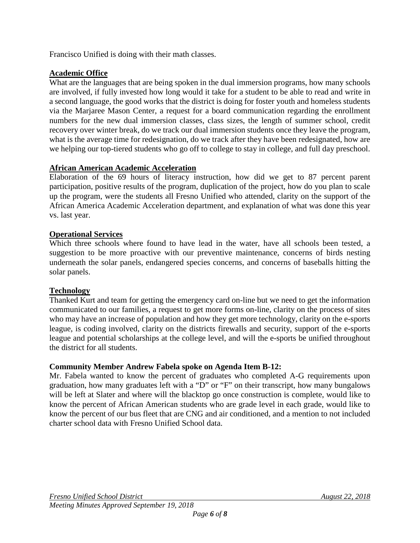Francisco Unified is doing with their math classes.

## **Academic Office**

What are the languages that are being spoken in the dual immersion programs, how many schools are involved, if fully invested how long would it take for a student to be able to read and write in a second language, the good works that the district is doing for foster youth and homeless students via the Marjaree Mason Center, a request for a board communication regarding the enrollment numbers for the new dual immersion classes, class sizes, the length of summer school, credit recovery over winter break, do we track our dual immersion students once they leave the program, what is the average time for redesignation, do we track after they have been redesignated, how are we helping our top-tiered students who go off to college to stay in college, and full day preschool.

## **African American Academic Acceleration**

Elaboration of the 69 hours of literacy instruction, how did we get to 87 percent parent participation, positive results of the program, duplication of the project, how do you plan to scale up the program, were the students all Fresno Unified who attended, clarity on the support of the African America Academic Acceleration department, and explanation of what was done this year vs. last year.

## **Operational Services**

Which three schools where found to have lead in the water, have all schools been tested, a suggestion to be more proactive with our preventive maintenance, concerns of birds nesting underneath the solar panels, endangered species concerns, and concerns of baseballs hitting the solar panels.

# **Technology**

Thanked Kurt and team for getting the emergency card on-line but we need to get the information communicated to our families, a request to get more forms on-line, clarity on the process of sites who may have an increase of population and how they get more technology, clarity on the e-sports league, is coding involved, clarity on the districts firewalls and security, support of the e-sports league and potential scholarships at the college level, and will the e-sports be unified throughout the district for all students.

## **Community Member Andrew Fabela spoke on Agenda Item B-12:**

Mr. Fabela wanted to know the percent of graduates who completed A-G requirements upon graduation, how many graduates left with a "D" or "F" on their transcript, how many bungalows will be left at Slater and where will the blacktop go once construction is complete, would like to know the percent of African American students who are grade level in each grade, would like to know the percent of our bus fleet that are CNG and air conditioned, and a mention to not included charter school data with Fresno Unified School data.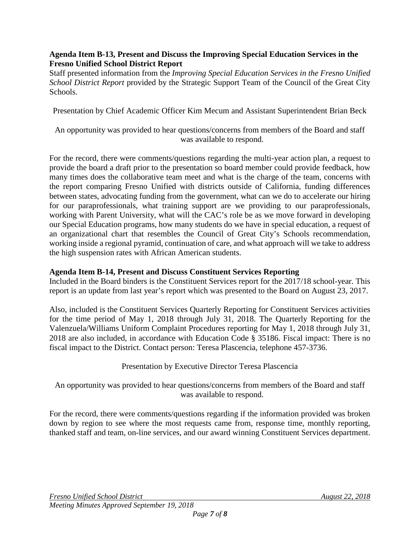#### **Agenda Item B-13, Present and Discuss the Improving Special Education Services in the Fresno Unified School District Report**

Staff presented information from the *Improving Special Education Services in the Fresno Unified School District Report* provided by the Strategic Support Team of the Council of the Great City Schools.

Presentation by Chief Academic Officer Kim Mecum and Assistant Superintendent Brian Beck

An opportunity was provided to hear questions/concerns from members of the Board and staff was available to respond.

For the record, there were comments/questions regarding the multi-year action plan, a request to provide the board a draft prior to the presentation so board member could provide feedback, how many times does the collaborative team meet and what is the charge of the team, concerns with the report comparing Fresno Unified with districts outside of California, funding differences between states, advocating funding from the government, what can we do to accelerate our hiring for our paraprofessionals, what training support are we providing to our paraprofessionals, working with Parent University, what will the CAC's role be as we move forward in developing our Special Education programs, how many students do we have in special education, a request of an organizational chart that resembles the Council of Great City's Schools recommendation, working inside a regional pyramid, continuation of care, and what approach will we take to address the high suspension rates with African American students.

## **Agenda Item B-14, Present and Discuss Constituent Services Reporting**

Included in the Board binders is the Constituent Services report for the 2017/18 school-year. This report is an update from last year's report which was presented to the Board on August 23, 2017.

Also, included is the Constituent Services Quarterly Reporting for Constituent Services activities for the time period of May 1, 2018 through July 31, 2018. The Quarterly Reporting for the Valenzuela/Williams Uniform Complaint Procedures reporting for May 1, 2018 through July 31, 2018 are also included, in accordance with Education Code § 35186. Fiscal impact: There is no fiscal impact to the District. Contact person: Teresa Plascencia, telephone 457-3736.

# Presentation by Executive Director Teresa Plascencia

## An opportunity was provided to hear questions/concerns from members of the Board and staff was available to respond.

For the record, there were comments/questions regarding if the information provided was broken down by region to see where the most requests came from, response time, monthly reporting, thanked staff and team, on-line services, and our award winning Constituent Services department.